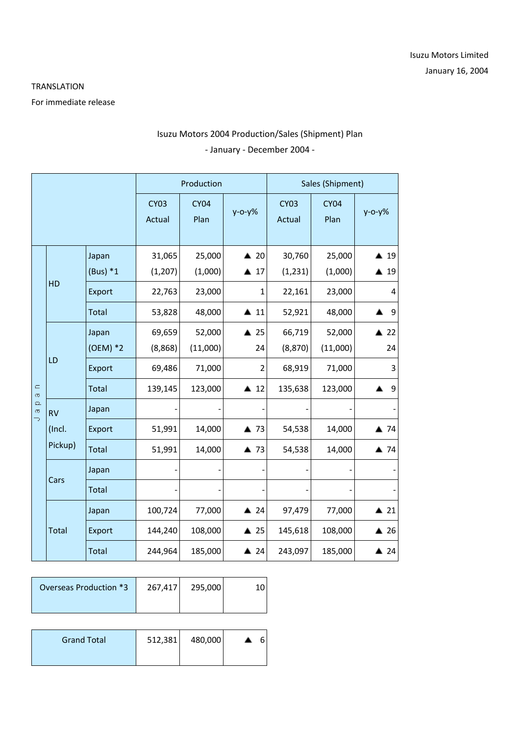## TRANSLATION

For immediate release

## Isuzu Motors 2004 Production/Sales (Shipment) Plan - January - December 2004 -

|                                                    |                                | Production  |                       |                     | Sales (Shipment)    |                       |                     |                |
|----------------------------------------------------|--------------------------------|-------------|-----------------------|---------------------|---------------------|-----------------------|---------------------|----------------|
|                                                    |                                |             | <b>CY03</b><br>Actual | <b>CY04</b><br>Plan | $y - 0 - y$ %       | <b>CY03</b><br>Actual | <b>CY04</b><br>Plan | $y - 0 - y$ %  |
| $\subset$<br>$\sigma$<br>$\Omega$<br>$\sigma$<br>Þ | HD                             | Japan       | 31,065                | 25,000              | $\triangle$ 20      | 30,760                | 25,000              | $\triangle$ 19 |
|                                                    |                                | $(Bus) * 1$ | (1, 207)              | (1,000)             | $\triangle$ 17      | (1, 231)              | (1,000)             | ▲ 19           |
|                                                    |                                | Export      | 22,763                | 23,000              | 1                   | 22,161                | 23,000              | 4              |
|                                                    |                                | Total       | 53,828                | 48,000              | $\blacktriangle$ 11 | 52,921                | 48,000              | 9              |
|                                                    | LD                             | Japan       | 69,659                | 52,000              | $\triangle$ 25      | 66,719                | 52,000              | $\triangle$ 22 |
|                                                    |                                | $(OEM)*2$   | (8,868)               | (11,000)            | 24                  | (8,870)               | (11,000)            | 24             |
|                                                    |                                | Export      | 69,486                | 71,000              | $\overline{2}$      | 68,919                | 71,000              | 3              |
|                                                    |                                | Total       | 139,145               | 123,000             | $\triangle$ 12      | 135,638               | 123,000             | 9              |
|                                                    | <b>RV</b><br>(Incl.<br>Pickup) | Japan       |                       |                     |                     |                       |                     |                |
|                                                    |                                | Export      | 51,991                | 14,000              | ▲ 73                | 54,538                | 14,000              | ▲ 74           |
|                                                    |                                | Total       | 51,991                | 14,000              | ▲ 73                | 54,538                | 14,000              | ▲ 74           |
|                                                    | Cars                           | Japan       |                       |                     |                     |                       |                     |                |
|                                                    |                                | Total       |                       |                     |                     |                       |                     |                |
|                                                    | Total                          | Japan       | 100,724               | 77,000              | $\triangle$ 24      | 97,479                | 77,000              | $\triangle$ 21 |
|                                                    |                                | Export      | 144,240               | 108,000             | $\triangle$ 25      | 145,618               | 108,000             | $\triangle$ 26 |
|                                                    |                                | Total       | 244,964               | 185,000             | $\triangle$ 24      | 243,097               | 185,000             | $\triangle$ 24 |

| Overseas Production *3 | 267,417 | 295,000 |  |
|------------------------|---------|---------|--|
|                        |         |         |  |
| <b>Grand Total</b>     | 512,381 | 480,000 |  |